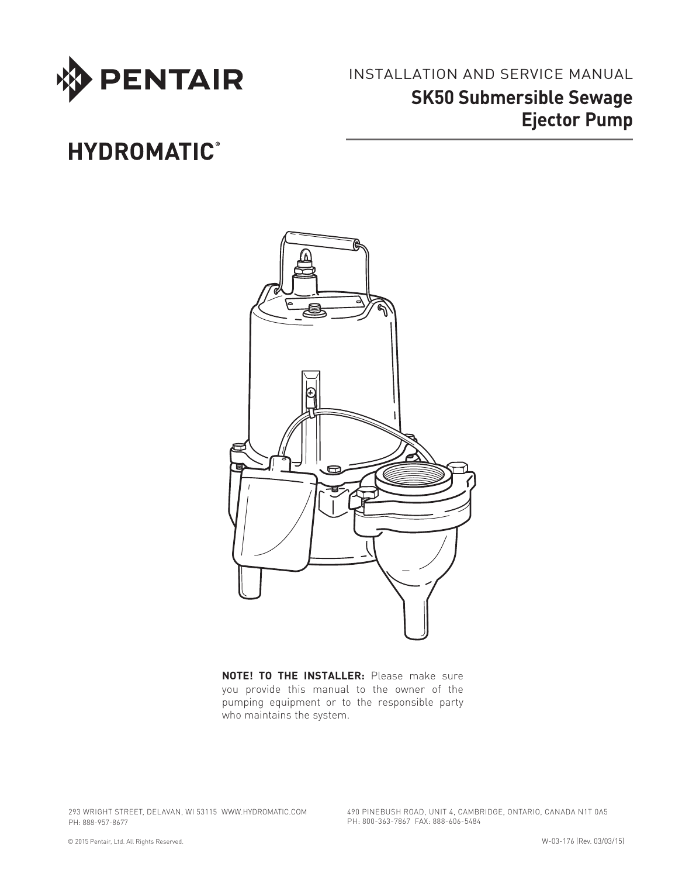

Installation and Service Manual **SK50 Submersible Sewage Ejector Pump**

## **HYDROMATIC®**



**NOTE! To the installer:** Please make sure you provide this manual to the owner of the pumping equipment or to the responsible party who maintains the system.

293 WRIGHT STREET, DELAVAN, WI 53115 WWW.hydromatic.COM PH: 888-957-8677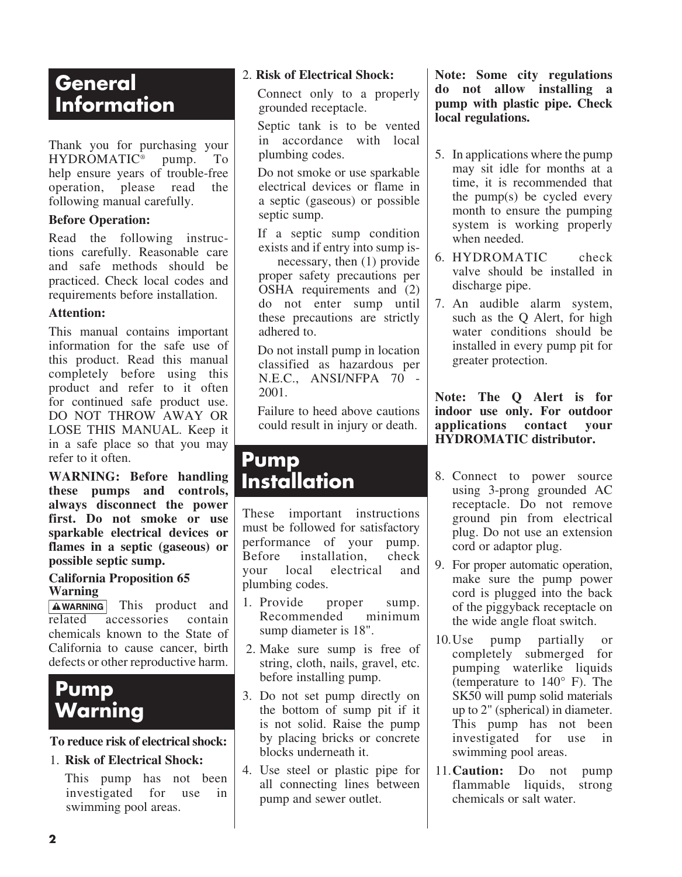## **General Information**

Thank you for purchasing your HYDROMATIC<sup>®</sup> pump. To help ensure years of trouble-free operation, please read the following manual carefully.

#### **Before Operation:**

Read the following instructions carefully. Reasonable care and safe methods should be practiced. Check local codes and requirements before installation.

#### **Attention:**

This manual contains important information for the safe use of this product. Read this manual completely before using this product and refer to it often for continued safe product use. DO NOT THROW AWAY OR LOSE THIS MANUAL. Keep it in a safe place so that you may refer to it often.

**WARNING: Before handling these pumps and controls, always disconnect the power first. Do not smoke or use sparkable electrical devices or flames in a septic (gaseous) or possible septic sump.**

#### **California Proposition 65 Warning**

**AWARNING** This product and related accessories contain chemicals known to the State of California to cause cancer, birth defects or other reproductive harm.

## **Pump Warning**

#### **To reduce risk of electrical shock:**

#### 1. **Risk of Electrical Shock:**

This pump has not been investigated for use in swimming pool areas.

#### 2. **Risk of Electrical Shock:**

 Connect only to a properly grounded receptacle.

Septic tank is to be vented in accordance with local plumbing codes.

 Do not smoke or use sparkable electrical devices or flame in a septic (gaseous) or possible septic sump.

 If a septic sump condition exists and if entry into sump is-

 necessary, then (1) provide proper safety precautions per OSHA requirements and (2) do not enter sump until these precautions are strictly adhered to.

 Do not install pump in location classified as hazardous per N.E.C., ANSI/NFPA 70 - 2001.

Failure to heed above cautions could result in injury or death.

## **Pump Installation**

These important instructions must be followed for satisfactory performance of your pump. Before installation, check your local electrical and plumbing codes.

- 1. Provide proper sump. Recommended minimum sump diameter is 18".
- 2. Make sure sump is free of string, cloth, nails, gravel, etc. before installing pump.
- 3. Do not set pump directly on the bottom of sump pit if it is not solid. Raise the pump by placing bricks or concrete blocks underneath it.
- 4. Use steel or plastic pipe for all connecting lines between pump and sewer outlet.

**Note: Some city regulations do not allow installing a pump with plastic pipe. Check local regulations.**

- 5. In applications where the pump may sit idle for months at a time, it is recommended that the pump(s) be cycled every month to ensure the pumping system is working properly when needed.
- 6. Hydromatic check valve should be installed in discharge pipe.
- 7. An audible alarm system, such as the Q Alert, for high water conditions should be installed in every pump pit for greater protection.

**Note: The Q Alert is for indoor use only. For outdoor applications contact your Hydromatic distributor.**

- 8. Connect to power source using 3-prong grounded AC receptacle. Do not remove ground pin from electrical plug. Do not use an extension cord or adaptor plug.
- 9. For proper automatic operation, make sure the pump power cord is plugged into the back of the piggyback receptacle on the wide angle float switch.
- 10.Use pump partially or completely submerged for pumping waterlike liquids (temperature to 140° F). The SK50 will pump solid materials up to 2" (spherical) in diameter. This pump has not been investigated for use in swimming pool areas.
- 11.**Caution:** Do not pump flammable liquids, strong chemicals or salt water.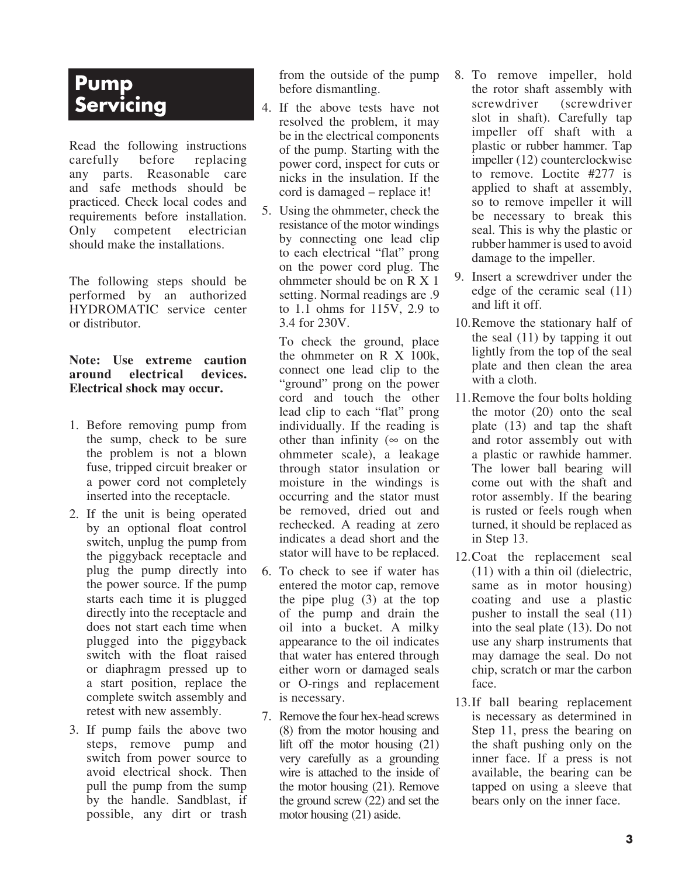## **Pump Servicing**

Read the following instructions carefully before replacing any parts. Reasonable care and safe methods should be practiced. Check local codes and requirements before installation. Only competent electrician should make the installations.

The following steps should be performed by an authorized Hydromatic service center or distributor.

#### **Note: Use extreme caution around electrical devices. Electrical shock may occur.**

- 1. Before removing pump from the sump, check to be sure the problem is not a blown fuse, tripped circuit breaker or a power cord not completely inserted into the receptacle.
- 2. If the unit is being operated by an optional float control switch, unplug the pump from the piggyback receptacle and plug the pump directly into the power source. If the pump starts each time it is plugged directly into the receptacle and does not start each time when plugged into the piggyback switch with the float raised or diaphragm pressed up to a start position, replace the complete switch assembly and retest with new assembly.
- 3. If pump fails the above two steps, remove pump and switch from power source to avoid electrical shock. Then pull the pump from the sump by the handle. Sandblast, if possible, any dirt or trash

from the outside of the pump before dismantling.

- 4. If the above tests have not resolved the problem, it may be in the electrical components of the pump. Starting with the power cord, inspect for cuts or nicks in the insulation. If the cord is damaged – replace it!
- 5. Using the ohmmeter, check the resistance of the motor windings by connecting one lead clip to each electrical "flat" prong on the power cord plug. The ohmmeter should be on R X 1 setting. Normal readings are .9 to 1.1 ohms for 115V, 2.9 to 3.4 for 230V.

To check the ground, place the ohmmeter on R X 100k, connect one lead clip to the "ground" prong on the power cord and touch the other lead clip to each "flat" prong individually. If the reading is other than infinity ( $\infty$  on the ohmmeter scale), a leakage through stator insulation or moisture in the windings is occurring and the stator must be removed, dried out and rechecked. A reading at zero indicates a dead short and the stator will have to be replaced.

- 6. To check to see if water has entered the motor cap, remove the pipe plug (3) at the top of the pump and drain the oil into a bucket. A milky appearance to the oil indicates that water has entered through either worn or damaged seals or O-rings and replacement is necessary.
- 7. Remove the four hex-head screws (8) from the motor housing and lift off the motor housing (21) very carefully as a grounding wire is attached to the inside of the motor housing (21). Remove the ground screw (22) and set the motor housing (21) aside.
- 8. To remove impeller, hold the rotor shaft assembly with screwdriver (screwdriver slot in shaft). Carefully tap impeller off shaft with a plastic or rubber hammer. Tap impeller (12) counterclockwise to remove. Loctite #277 is applied to shaft at assembly, so to remove impeller it will be necessary to break this seal. This is why the plastic or rubber hammer is used to avoid damage to the impeller.
- 9. Insert a screwdriver under the edge of the ceramic seal (11) and lift it off.
- 10. Remove the stationary half of the seal (11) by tapping it out lightly from the top of the seal plate and then clean the area with a cloth.
- 11. Remove the four bolts holding the motor (20) onto the seal plate (13) and tap the shaft and rotor assembly out with a plastic or rawhide hammer. The lower ball bearing will come out with the shaft and rotor assembly. If the bearing is rusted or feels rough when turned, it should be replaced as in Step 13.
- 12. Coat the replacement seal (11) with a thin oil (dielectric, same as in motor housing) coating and use a plastic pusher to install the seal (11) into the seal plate (13). Do not use any sharp instruments that may damage the seal. Do not chip, scratch or mar the carbon face.
- 13. If ball bearing replacement is necessary as determined in Step 11, press the bearing on the shaft pushing only on the inner face. If a press is not available, the bearing can be tapped on using a sleeve that bears only on the inner face.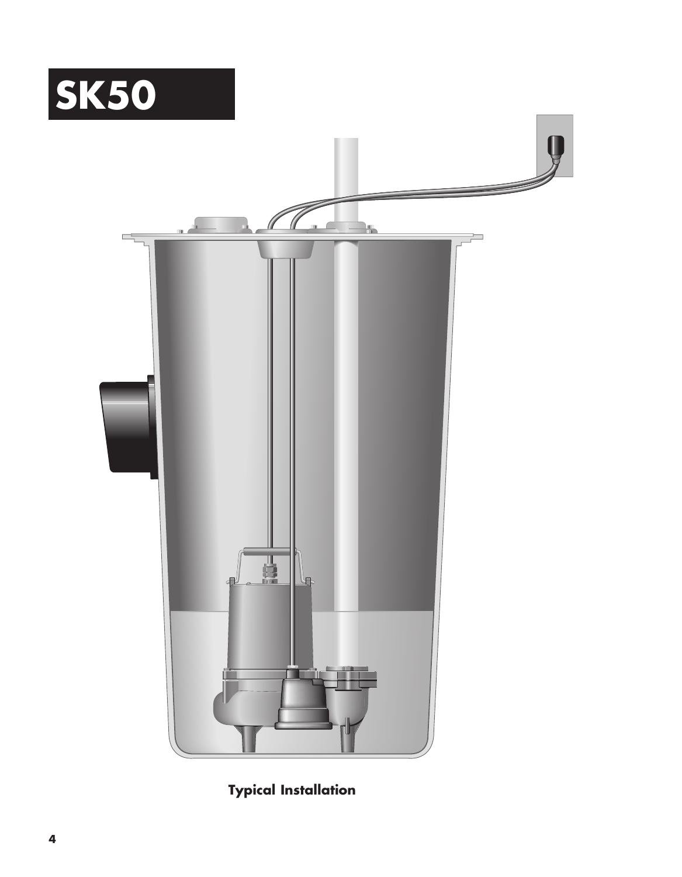



**Typical Installation**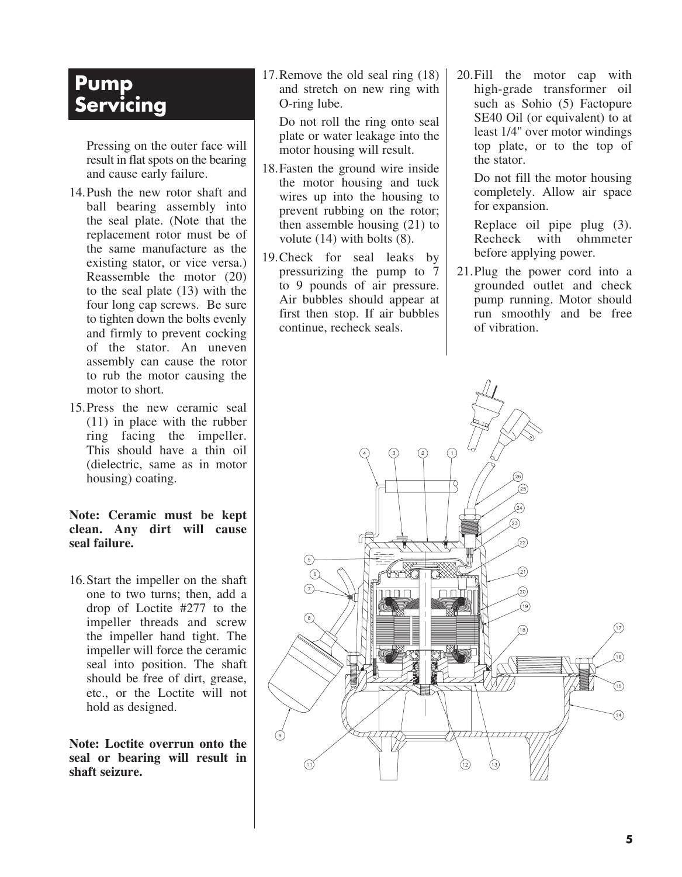## **Pump Servicing**

Pressing on the outer face will result in flat spots on the bearing and cause early failure.

- 14.Push the new rotor shaft and ball bearing assembly into the seal plate. (Note that the replacement rotor must be of the same manufacture as the existing stator, or vice versa.) Reassemble the motor (20) to the seal plate (13) with the four long cap screws. Be sure to tighten down the bolts evenly and firmly to prevent cocking of the stator. An uneven assembly can cause the rotor to rub the motor causing the motor to short.
- 15.Press the new ceramic seal (11) in place with the rubber ring facing the impeller. This should have a thin oil (dielectric, same as in motor housing) coating.

**Note: Ceramic must be kept clean. Any dirt will cause seal failure.**

16.Start the impeller on the shaft one to two turns; then, add a drop of Loctite #277 to the impeller threads and screw the impeller hand tight. The impeller will force the ceramic seal into position. The shaft should be free of dirt, grease, etc., or the Loctite will not hold as designed.

**Note: Loctite overrun onto the seal or bearing will result in shaft seizure.**

17. Remove the old seal ring (18) and stretch on new ring with O-ring lube.

 Do not roll the ring onto seal plate or water leakage into the motor housing will result.

- 18.Fasten the ground wire inside the motor housing and tuck wires up into the housing to prevent rubbing on the rotor; then assemble housing (21) to volute (14) with bolts (8).
- 19. Check for seal leaks by pressurizing the pump to 7 to 9 pounds of air pressure. Air bubbles should appear at first then stop. If air bubbles continue, recheck seals.
- 20.Fill the motor cap with high-grade transformer oil such as Sohio (5) Factopure SE40 Oil (or equivalent) to at least 1/4" over motor windings top plate, or to the top of the stator.

 Do not fill the motor housing completely. Allow air space for expansion.

 Replace oil pipe plug (3). Recheck with ohmmeter before applying power.

21.Plug the power cord into a grounded outlet and check pump running. Motor should run smoothly and be free of vibration.

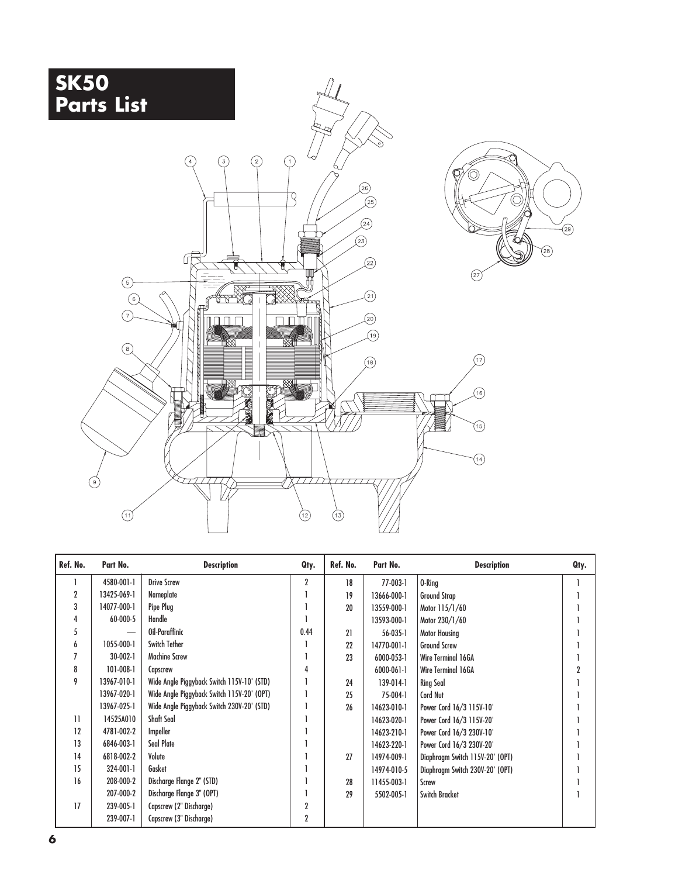

| Ref. No.     | Part No.       | <b>Description</b>                         | Qty.           | Ref. No. | Part No.       | <b>Description</b>              | Qty. |
|--------------|----------------|--------------------------------------------|----------------|----------|----------------|---------------------------------|------|
|              | 4580-001-1     | <b>Drive Screw</b>                         | $\overline{2}$ | 18       | 77-003-1       | 0-Ring                          |      |
| 2            | 13425-069-1    | Nameplate                                  |                | 19       | 13666-000-1    | <b>Ground Strap</b>             |      |
| 3            | 14077-000-1    | Pipe Plug                                  |                | 20       | 13559-000-1    | Motor 115/1/60                  |      |
|              | 60-000-5       | Handle                                     |                |          | 13593-000-1    | Motor 230/1/60                  |      |
| 5            |                | Oil-Paraffinic                             | 0.44           | 21       | $56 - 035 - 1$ | <b>Motor Housing</b>            |      |
| 6            | 1055-000-1     | <b>Switch Tether</b>                       |                | 22       | 14770-001-1    | <b>Ground Screw</b>             |      |
|              | $30 - 002 - 1$ | <b>Machine Screw</b>                       |                | 23       | 6000-053-1     | Wire Terminal 16GA              |      |
| 8            | 101-008-1      | Capscrew                                   |                |          | 6000-061-1     | Wire Terminal 16GA              |      |
| 9            | 13967-010-1    | Wide Angle Piggyback Switch 115V-10' (STD) |                | 24       | 139-014-1      | <b>Ring Seal</b>                |      |
|              | 13967-020-1    | Wide Angle Piggyback Switch 115V-20' (OPT) |                | 25       | 75-004-1       | <b>Cord Nut</b>                 |      |
|              | 13967-025-1    | Wide Angle Piggyback Switch 230V-20' (STD) |                | 26       | 14623-010-1    | Power Cord 16/3 115V-10'        |      |
| $\mathbf{1}$ | 14525A010      | Shaft Seal                                 |                |          | 14623-020-1    | Power Cord 16/3 115V-20'        |      |
| 12           | 4781-002-2     | Impeller                                   |                |          | 14623-210-1    | Power Cord 16/3 230V-10'        |      |
| 13           | 6846-003-1     | Seal Plate                                 |                |          | 14623-220-1    | Power Cord 16/3 230V-20'        |      |
| 14           | 6818-002-2     | Volute                                     |                | 27       | 14974-009-1    | Diaphragm Switch 115V-20' (OPT) |      |
| 15           | 324-001-1      | Gasket                                     |                |          | 14974-010-5    | Diaphragm Switch 230V-20' (OPT) |      |
| 16           | 208-000-2      | Discharge Flange 2" (STD)                  |                | 28       | 11455-003-1    | <b>Screw</b>                    |      |
|              | 207-000-2      | Discharge Flange 3" (OPT)                  |                | 29       | 5502-005-1     | Switch Bracket                  |      |
| 17           | 239-005-1      | Capscrew (2" Discharge)                    |                |          |                |                                 |      |
|              | 239-007-1      | Capscrew (3" Discharge)                    | 2              |          |                |                                 |      |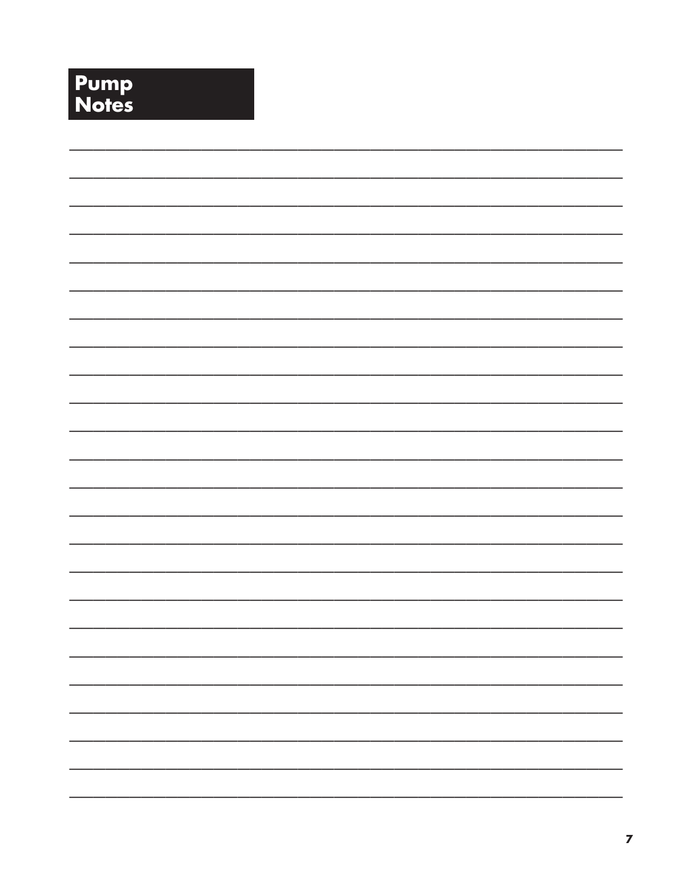# **Pump**<br>Notes